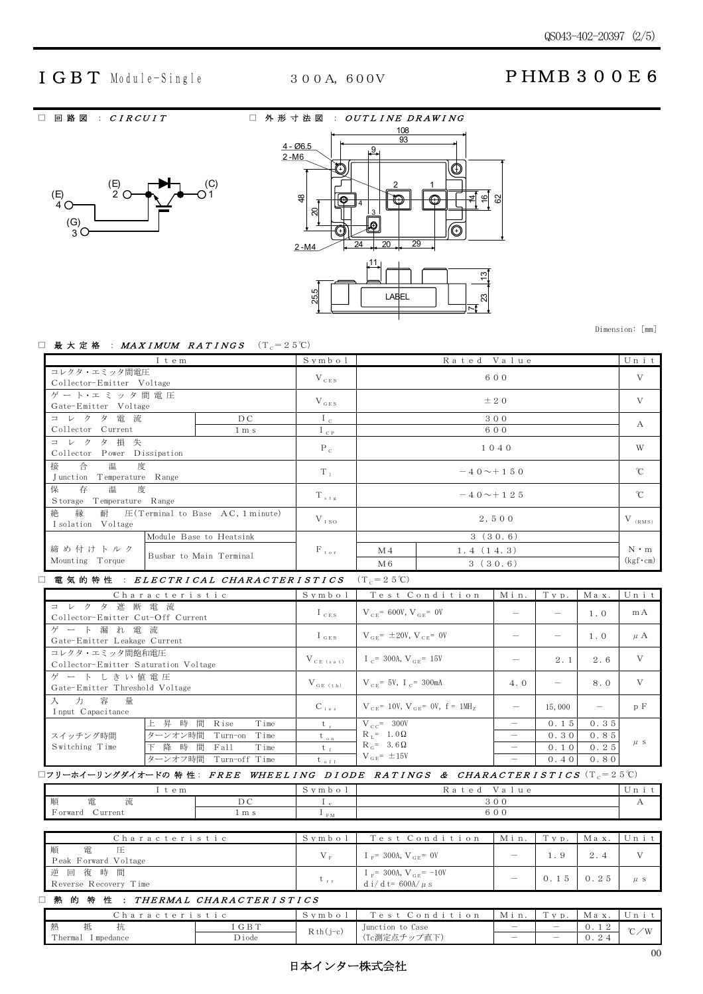## IGBT Module-Single 300A, 600V PHMB300E6

□ 回路図 : CIRCUIT □ 外形寸法図 : OUTLINE DRAWING



|                        | <u>108</u>                                |
|------------------------|-------------------------------------------|
|                        | 93                                        |
| $4 - 06.5$<br>$2 - M6$ | $\cdot$ 9.                                |
|                        | $\ddot{}$<br>$+$                          |
| \$                     | 2<br>흰.<br>82<br>$\overline{6}$<br>⊕<br>4 |
| ສ                      | 3<br>Ē<br>G.                              |
| $2 - M4$               | 29<br>$\overline{24}$<br>20               |
| 25.5                   | 111<br>₿<br><b>LABEL</b><br>ಔ             |

Dimension: [mm]

#### □ 最大定格 : MAXIMUM RATINGS  $(T_c=25^{\circ}C)$

| I t e m                                                                            |                         | Symbol           | Rated Value     |           | Unit            |
|------------------------------------------------------------------------------------|-------------------------|------------------|-----------------|-----------|-----------------|
| コレクタ・エミッタ間電圧<br>Collector-Emitter Voltage                                          |                         | $V_{CES}$        | 600             |           | V               |
| ゲート·エミッタ間電圧<br>Gate-Emitter Voltage                                                |                         | $V_{GES}$        | $\pm$ 2 0       |           | V               |
| コレクタ電流                                                                             | D C                     | $I_{c}$          |                 | 300       | A               |
| Collector Current                                                                  | $1 \text{ m s}$         | $I_{CP}$         |                 | 600       |                 |
| コレクタ損失<br>Power Dissipation<br>Collector                                           |                         | $P_{c}$          | 1040            |           | W               |
| 接<br>合 温 度<br>Junction<br>Temperature Range                                        |                         | $T_i$            | $-40 \sim +150$ |           | $^{\circ}$ C    |
| 保<br>存<br>温度<br>Temperature Range<br>S torage                                      |                         | $T_{\text{std}}$ | $-40 \sim +125$ |           | $\rm{C}$        |
| 絶<br>縁<br>耐 $\quadmathbb{E}$ (Terminal to Base AC, 1 minute)<br>I solation Voltage |                         | $V_{150}$        | 2.500           |           | $V_{(RMS)}$     |
|                                                                                    | Module Base to Heatsink |                  |                 | 3(30.6)   |                 |
| 締め付けトルク                                                                            | Busbar to Main Terminal | $F_{\text{tor}}$ | M <sub>4</sub>  | 1.4(14.3) | $N \cdot m$     |
| Mounting Torque                                                                    |                         |                  | M6              | 3(30.6)   | $(kgf\cdot cm)$ |

#### □ 電気的特性 : ELECTRICAL CHARACTERISTICS  $(T_c=25^{\circ}C)$

| Characteristic                                         |                             | Symbol         | Test Condition                                      | Min. | Typ.                     | Max. | Unit    |
|--------------------------------------------------------|-----------------------------|----------------|-----------------------------------------------------|------|--------------------------|------|---------|
| コレクタ遮断電流<br>Collector-Emitter Cut-Off Current          |                             | $I_{CES}$      | $V_{CF}$ = 600V, $V_{CF}$ = 0V                      |      |                          | 1.0  | mA      |
| ゲート漏れ電流<br>Gate-Emitter Leakage Current                |                             | $I_{GES}$      | $V_{CF} = \pm 20V, V_{CF} = 0V$                     |      |                          | 1.0  | $\mu$ A |
| コレクタ・エミッタ間飽和電圧<br>Collector-Emitter Saturation Voltage |                             | $V_{CE (sat)}$ | $I_C$ = 300A, $V_{CF}$ = 15V                        |      | 2.1                      | 2.6  | V       |
| ゲートしきい値電圧<br>Gate-Emitter Threshold Voltage            |                             | $V_{GE(th)}$   | $V_{CF} = 5V$ , I <sub>C</sub> = 300mA              | 4.0  | $\overline{\phantom{0}}$ | 8.0  | V       |
| 入力 容量<br>I nput Capacitance                            |                             | $C_{i e s}$    | $V_{CF}$ = 10V, $V_{CF}$ = 0V, f = 1MH <sub>7</sub> |      | 15,000                   | —    | p F     |
|                                                        | 上昇時<br>間<br>Rise<br>Time    | $t_{\rm r}$    | $V_{CC}$ = 300V                                     |      | 0.15                     | 0.35 |         |
| スイッチング時間                                               | ターンオン時間<br>Time<br>Turn-on  | $t_{on}$       | $R_{\perp} = 1.0 \Omega$                            |      | 0.30                     | 0.85 |         |
| Switching Time                                         | 隆<br>時<br>間<br>Fall<br>Time | $t_{\pm}$      | $R_{\alpha}$ = 3.6 $\Omega$                         |      | 0.10                     | 0.25 | $\mu$ s |
|                                                        | ターンオフ時間 Turn-off Time       | $t_{off}$      | $V_{GE}$ = ±15V                                     |      | 0.40                     | 0.80 |         |

## $\square$ フリーホイーリングダイオードの 特 性: FREE WHEELING DIODE RATINGS & CHARACTERISTICS(T<sub>c</sub>=25℃)

| e m                                  |     | y m b        | $\sim$ $\sim$<br>u e<br>$\circ$<br>$\sim$ |  |
|--------------------------------------|-----|--------------|-------------------------------------------|--|
| 山百<br>流<br>and a<br>电<br>一川貝         | ∪   | 12.75        |                                           |  |
| $\blacksquare$<br>√urrent<br>`orward | m s | D.A.<br>1.11 | $\sim$<br>v v v                           |  |

| Characteristic                 | Svmbol                           | Test Condition Min. Typ.                                  |      | Max. | Unit |
|--------------------------------|----------------------------------|-----------------------------------------------------------|------|------|------|
| Peak Forward Voltage           | $V_{\rm{r}}$                     | $I_F = 300A, V_{GF} = 0V$                                 |      |      |      |
| 逆回復時間<br>Reverse Recovery Time | $\mathbf{v}_{\text{r},\text{r}}$ | I $_F$ = 300A, V $_{GE}$ = -10V<br>$d i/d t = 600A/\mu s$ | 0.15 |      |      |

## □ 熱 的 特 性 : THERMAL CHARACTER ISTICS

| .                             |       |            |                            |                                |      |               |                  |
|-------------------------------|-------|------------|----------------------------|--------------------------------|------|---------------|------------------|
| Characteristic                |       | Symbo      | $T \circ c +$<br>Condition | Min<br>.                       | Typ. | Мах           | $\mathbb{U}_{n}$ |
| 熱<br>14.                      | GBT   | $Rth(j-c)$ | Junction to Case           |                                |      | $\cup$ .<br>∼ | $\sim$<br>′W     |
| $\sim$<br>Thermal<br>mpedance | Diode |            | 、fc測定点チップ直下                | $\qquad \qquad \longleftarrow$ |      | v.            |                  |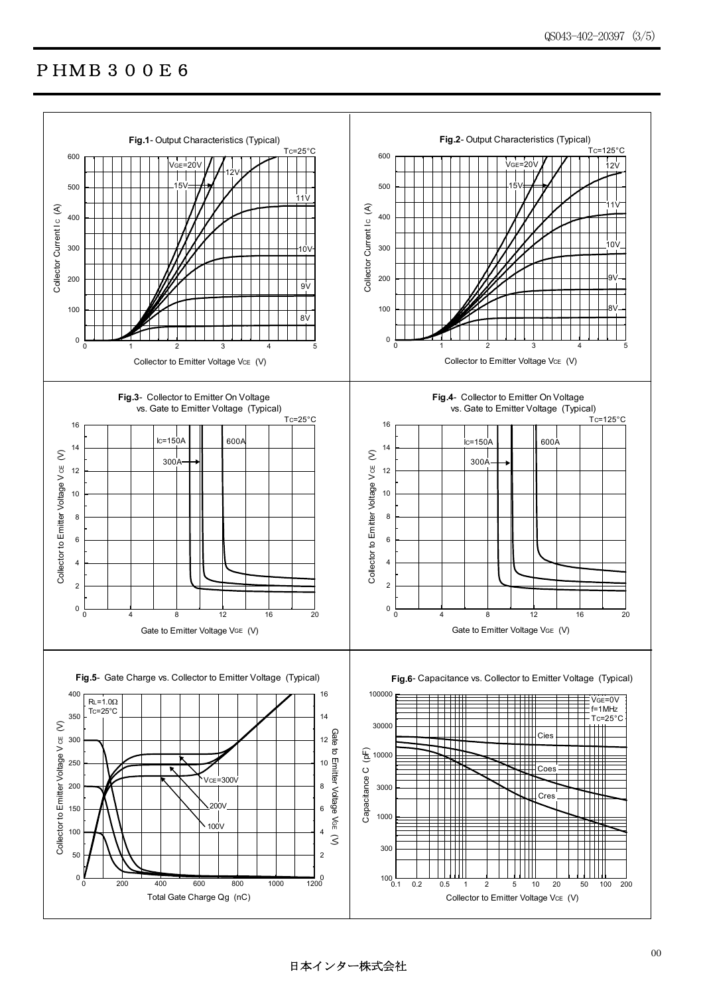## PHMB300E6



日本インター株式会社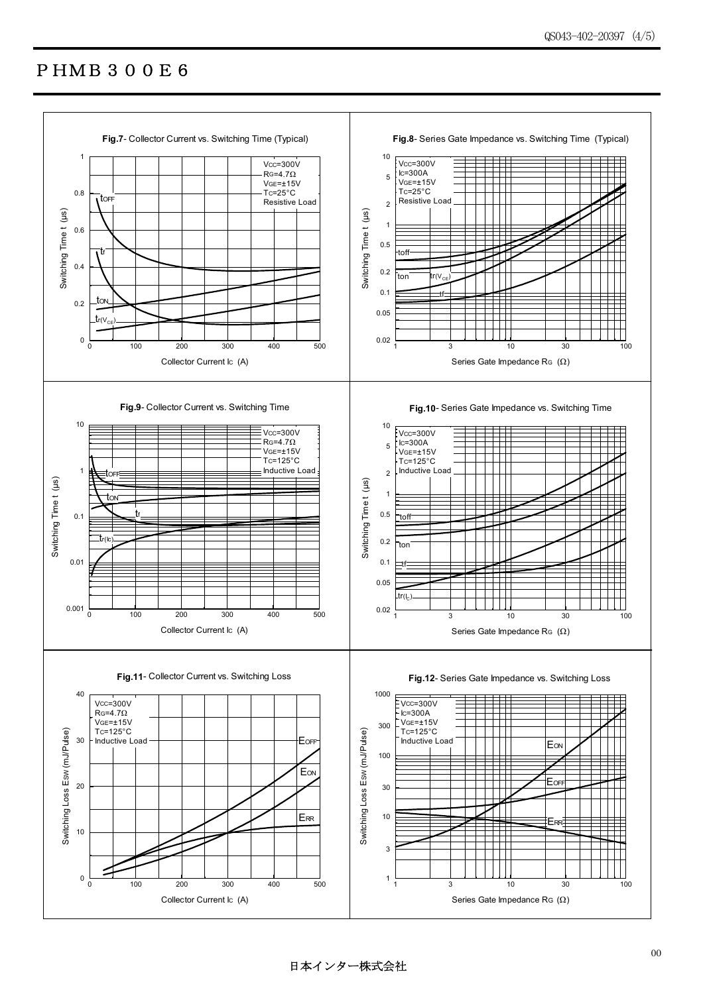# PHMB300E6



日本インター株式会社